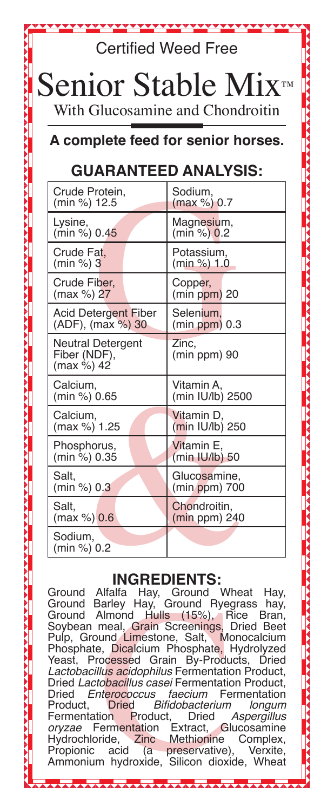| <b>Certified Weed Free</b>                                                                                                                                           |                       |
|----------------------------------------------------------------------------------------------------------------------------------------------------------------------|-----------------------|
| Senior Stable Mix™<br>With Glucosamine and Chondroitin                                                                                                               |                       |
| A complete feed for senior horses.                                                                                                                                   |                       |
| <b>GUARANTEED ANALYSIS:</b>                                                                                                                                          |                       |
| Crude Protein,                                                                                                                                                       | Sodium.               |
| (min %) 12.5                                                                                                                                                         | (max %) 0.7           |
| Lysine,                                                                                                                                                              | Magnesium,            |
| (min %) 0.45                                                                                                                                                         | (min %) 0.2           |
| Crude Fat.                                                                                                                                                           | Potassium,            |
| (min %) 3                                                                                                                                                            | (min %) 1.0           |
| Crude Fiber,                                                                                                                                                         | Copper,               |
| (max %) 27                                                                                                                                                           | $(min ppm)$ 20        |
| <b>Acid Detergent Fiber</b>                                                                                                                                          | Selenium,             |
| (ADF), (max %) 30                                                                                                                                                    | $(min ppm)$ 0.3       |
| Neutral Detergent<br>Fiber (NDF),<br>(max %) 42                                                                                                                      | Zinc,<br>(min ppm) 90 |
| Calcium,                                                                                                                                                             | Vitamin A,            |
| (min %) 0.65                                                                                                                                                         | (min IU/lb) 2500      |
| Calcium,                                                                                                                                                             | Vitamin D.            |
| (max %) 1.25                                                                                                                                                         | (min IU/lb) 250       |
| Phosphorus,                                                                                                                                                          | Vitamin E.            |
| (min %) 0.35                                                                                                                                                         | (min IU/lb) 50        |
| Salt.                                                                                                                                                                | Glucosamine,          |
| (min %) 0.3                                                                                                                                                          | (min ppm) 700         |
| Salt.                                                                                                                                                                | Chondroitin,          |
| (max %) 0.6                                                                                                                                                          | $(min ppm)$ 240       |
| Sodium,<br>(min %) 0.2                                                                                                                                               |                       |
| <b>INGREDIENTS:</b><br>Alfalfa Hay, Ground Wheat<br>Ground<br>Hay,<br>Barley Hay, Ground Ryegrass hay,<br>Ground<br>$H_0$ $(1.50)$ $\Gamma$<br>Almond L<br>$C$ round |                       |

iarley Hay, Ground Ryea<br>
Namond Hulls (15%), R<br>
meal, Grain Screenings, I<br>
und Limestone, Salt, Mc<br>
b, Dicalcium Phosphate, H<br>
cocessed Grain By-Produ<br>
lus acidophilus Fermentation<br>
blus acidophilus Fermentation<br>
blued Bif iround Almond Hulls (15%), Rice Bran,<br>}oybean meal, Grain Screenings, Dried Beet Soybean meal, Grain Screenings, Dried Beet<br>Pulp, Ground Limestone, Salt, Monocalcium Pulp, Ground Limestone, Salt, Phosphate, Dicalcium Phosphate, Hydrolyzed<br>Yeast, Processed Grain By-Products, Dried Yeast, Processed Grain By-Products, *Lactobacillus acidophilus* Fermentation Product, Dried *Lactobacillus casei* Fermentation Product, Dried *Enterococcus faecium* Fermentation<br>Product, Dried Bifidobacterium longum Product, Dried Bifidobacterium<br>Fermentation Product, Dried Fermentation Product, Dried Aspergillus<br>
oryzae Fermentation Extract, Glucosamine Fermentation Extract, Glucosamine<br>oride, Zinc Methionine Complex, Hydrochloride, Zinc Methionine Complex,<br>Propionic acid (a preservative), Verxite, preservative), Verxite,<br>Silicon dioxide, Wheat Ammonium hydroxide, Silicon dioxide,